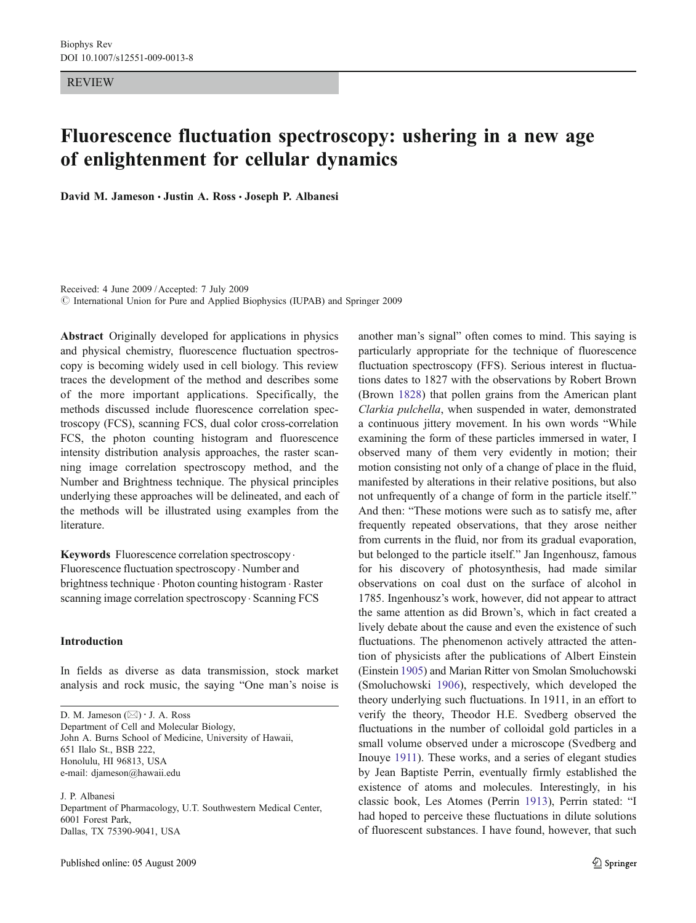REVIEW

# Fluorescence fluctuation spectroscopy: ushering in a new age of enlightenment for cellular dynamics

David M. Jameson · Justin A. Ross · Joseph P. Albanesi

Received: 4 June 2009 /Accepted: 7 July 2009  $\circ$  International Union for Pure and Applied Biophysics (IUPAB) and Springer 2009

Abstract Originally developed for applications in physics and physical chemistry, fluorescence fluctuation spectroscopy is becoming widely used in cell biology. This review traces the development of the method and describes some of the more important applications. Specifically, the methods discussed include fluorescence correlation spectroscopy (FCS), scanning FCS, dual color cross-correlation FCS, the photon counting histogram and fluorescence intensity distribution analysis approaches, the raster scanning image correlation spectroscopy method, and the Number and Brightness technique. The physical principles underlying these approaches will be delineated, and each of the methods will be illustrated using examples from the literature.

Keywords Fluorescence correlation spectroscopy . Fluorescence fluctuation spectroscopy. Number and brightness technique . Photon counting histogram . Raster scanning image correlation spectroscopy. Scanning FCS

# Introduction

In fields as diverse as data transmission, stock market analysis and rock music, the saying "One man's noise is

D. M. Jameson (⊠) · J. A. Ross Department of Cell and Molecular Biology, John A. Burns School of Medicine, University of Hawaii, 651 Ilalo St., BSB 222, Honolulu, HI 96813, USA e-mail: djameson@hawaii.edu

J. P. Albanesi Department of Pharmacology, U.T. Southwestern Medical Center, 6001 Forest Park, Dallas, TX 75390-9041, USA

another man's signal" often comes to mind. This saying is particularly appropriate for the technique of fluorescence fluctuation spectroscopy (FFS). Serious interest in fluctuations dates to 1827 with the observations by Robert Brown (Brown [1828\)](#page-10-0) that pollen grains from the American plant Clarkia pulchella, when suspended in water, demonstrated a continuous jittery movement. In his own words "While examining the form of these particles immersed in water, I observed many of them very evidently in motion; their motion consisting not only of a change of place in the fluid, manifested by alterations in their relative positions, but also not unfrequently of a change of form in the particle itself." And then: "These motions were such as to satisfy me, after frequently repeated observations, that they arose neither from currents in the fluid, nor from its gradual evaporation, but belonged to the particle itself." Jan Ingenhousz, famous for his discovery of photosynthesis, had made similar observations on coal dust on the surface of alcohol in 1785. Ingenhousz's work, however, did not appear to attract the same attention as did Brown's, which in fact created a lively debate about the cause and even the existence of such fluctuations. The phenomenon actively attracted the attention of physicists after the publications of Albert Einstein (Einstein [1905](#page-11-0)) and Marian Ritter von Smolan Smoluchowski (Smoluchowski [1906\)](#page-12-0), respectively, which developed the theory underlying such fluctuations. In 1911, in an effort to verify the theory, Theodor H.E. Svedberg observed the fluctuations in the number of colloidal gold particles in a small volume observed under a microscope (Svedberg and Inouye [1911](#page-12-0)). These works, and a series of elegant studies by Jean Baptiste Perrin, eventually firmly established the existence of atoms and molecules. Interestingly, in his classic book, Les Atomes (Perrin [1913](#page-12-0)), Perrin stated: "I had hoped to perceive these fluctuations in dilute solutions of fluorescent substances. I have found, however, that such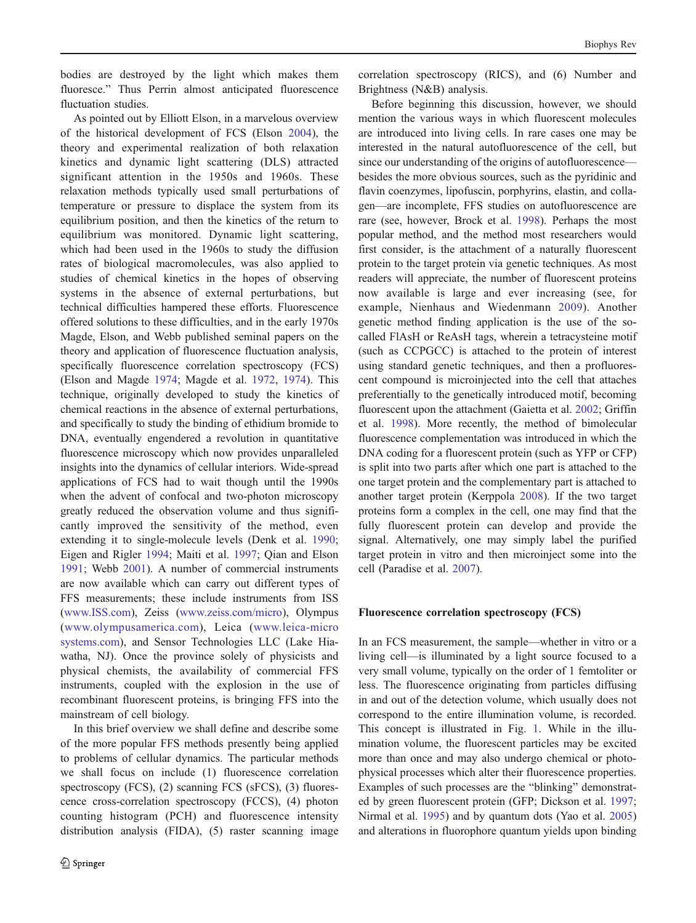bodies are destroyed by the light which makes them fluoresce." Thus Perrin almost anticipated fluorescence fluctuation studies.

As pointed out by Elliott Elson, in a marvelous overview of the historical development of FCS (Elson [2004\)](#page-11-0), the theory and experimental realization of both relaxation kinetics and dynamic light scattering (DLS) attracted significant attention in the 1950s and 1960s. These relaxation methods typically used small perturbations of temperature or pressure to displace the system from its equilibrium position, and then the kinetics of the return to equilibrium was monitored. Dynamic light scattering, which had been used in the 1960s to study the diffusion rates of biological macromolecules, was also applied to studies of chemical kinetics in the hopes of observing systems in the absence of external perturbations, but technical difficulties hampered these efforts. Fluorescence offered solutions to these difficulties, and in the early 1970s Magde, Elson, and Webb published seminal papers on the theory and application of fluorescence fluctuation analysis, specifically fluorescence correlation spectroscopy (FCS) (Elson and Magde [1974;](#page-11-0) Magde et al. [1972,](#page-11-0) [1974](#page-11-0)). This technique, originally developed to study the kinetics of chemical reactions in the absence of external perturbations, and specifically to study the binding of ethidium bromide to DNA, eventually engendered a revolution in quantitative fluorescence microscopy which now provides unparalleled insights into the dynamics of cellular interiors. Wide-spread applications of FCS had to wait though until the 1990s when the advent of confocal and two-photon microscopy greatly reduced the observation volume and thus significantly improved the sensitivity of the method, even extending it to single-molecule levels (Denk et al. [1990](#page-11-0); Eigen and Rigler [1994;](#page-11-0) Maiti et al. [1997;](#page-11-0) Qian and Elson [1991;](#page-12-0) Webb [2001](#page-12-0)). A number of commercial instruments are now available which can carry out different types of FFS measurements; these include instruments from ISS ([www.ISS.com](http://www.ISS.com)), Zeiss ([www.zeiss.com/micro\)](http://www.zeiss.com/micro), Olympus ([www.olympusamerica.com\)](http://www.olympusamerica.com), Leica ([www.leica-micro](http://www.leica-microsystems.com) [systems.com\)](http://www.leica-microsystems.com), and Sensor Technologies LLC (Lake Hiawatha, NJ). Once the province solely of physicists and physical chemists, the availability of commercial FFS instruments, coupled with the explosion in the use of recombinant fluorescent proteins, is bringing FFS into the mainstream of cell biology.

In this brief overview we shall define and describe some of the more popular FFS methods presently being applied to problems of cellular dynamics. The particular methods we shall focus on include (1) fluorescence correlation spectroscopy (FCS), (2) scanning FCS (sFCS), (3) fluorescence cross-correlation spectroscopy (FCCS), (4) photon counting histogram (PCH) and fluorescence intensity distribution analysis (FIDA), (5) raster scanning image correlation spectroscopy (RICS), and (6) Number and Brightness (N&B) analysis.

Before beginning this discussion, however, we should mention the various ways in which fluorescent molecules are introduced into living cells. In rare cases one may be interested in the natural autofluorescence of the cell, but since our understanding of the origins of autofluorescence besides the more obvious sources, such as the pyridinic and flavin coenzymes, lipofuscin, porphyrins, elastin, and collagen—are incomplete, FFS studies on autofluorescence are rare (see, however, Brock et al. [1998](#page-10-0)). Perhaps the most popular method, and the method most researchers would first consider, is the attachment of a naturally fluorescent protein to the target protein via genetic techniques. As most readers will appreciate, the number of fluorescent proteins now available is large and ever increasing (see, for example, Nienhaus and Wiedenmann [2009\)](#page-12-0). Another genetic method finding application is the use of the socalled FlAsH or ReAsH tags, wherein a tetracysteine motif (such as CCPGCC) is attached to the protein of interest using standard genetic techniques, and then a profluorescent compound is microinjected into the cell that attaches preferentially to the genetically introduced motif, becoming fluorescent upon the attachment (Gaietta et al. [2002](#page-11-0); Griffin et al. [1998](#page-11-0)). More recently, the method of bimolecular fluorescence complementation was introduced in which the DNA coding for a fluorescent protein (such as YFP or CFP) is split into two parts after which one part is attached to the one target protein and the complementary part is attached to another target protein (Kerppola [2008](#page-11-0)). If the two target proteins form a complex in the cell, one may find that the fully fluorescent protein can develop and provide the signal. Alternatively, one may simply label the purified target protein in vitro and then microinject some into the cell (Paradise et al. [2007](#page-12-0)).

## Fluorescence correlation spectroscopy (FCS)

In an FCS measurement, the sample—whether in vitro or a living cell—is illuminated by a light source focused to a very small volume, typically on the order of 1 femtoliter or less. The fluorescence originating from particles diffusing in and out of the detection volume, which usually does not correspond to the entire illumination volume, is recorded. This concept is illustrated in Fig. [1](#page-2-0). While in the illumination volume, the fluorescent particles may be excited more than once and may also undergo chemical or photophysical processes which alter their fluorescence properties. Examples of such processes are the "blinking" demonstrated by green fluorescent protein (GFP; Dickson et al. [1997](#page-11-0); Nirmal et al. [1995](#page-12-0)) and by quantum dots (Yao et al. [2005\)](#page-13-0) and alterations in fluorophore quantum yields upon binding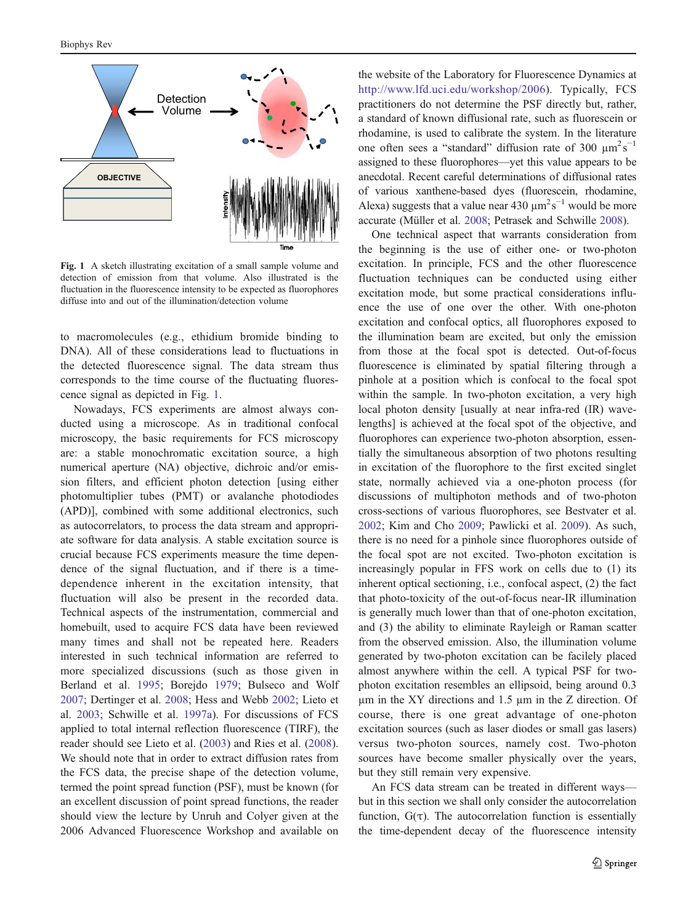<span id="page-2-0"></span>

Fig. 1 A sketch illustrating excitation of a small sample volume and detection of emission from that volume. Also illustrated is the fluctuation in the fluorescence intensity to be expected as fluorophores diffuse into and out of the illumination/detection volume

to macromolecules (e.g., ethidium bromide binding to DNA). All of these considerations lead to fluctuations in the detected fluorescence signal. The data stream thus corresponds to the time course of the fluctuating fluorescence signal as depicted in Fig. 1.

Nowadays, FCS experiments are almost always conducted using a microscope. As in traditional confocal microscopy, the basic requirements for FCS microscopy are: a stable monochromatic excitation source, a high numerical aperture (NA) objective, dichroic and/or emission filters, and efficient photon detection [using either photomultiplier tubes (PMT) or avalanche photodiodes (APD)], combined with some additional electronics, such as autocorrelators, to process the data stream and appropriate software for data analysis. A stable excitation source is crucial because FCS experiments measure the time dependence of the signal fluctuation, and if there is a timedependence inherent in the excitation intensity, that fluctuation will also be present in the recorded data. Technical aspects of the instrumentation, commercial and homebuilt, used to acquire FCS data have been reviewed many times and shall not be repeated here. Readers interested in such technical information are referred to more specialized discussions (such as those given in Berland et al. [1995](#page-10-0); Borejdo [1979;](#page-10-0) Bulseco and Wolf [2007;](#page-10-0) Dertinger et al. [2008](#page-11-0); Hess and Webb [2002;](#page-11-0) Lieto et al. [2003;](#page-11-0) Schwille et al. [1997a\)](#page-12-0). For discussions of FCS applied to total internal reflection fluorescence (TIRF), the reader should see Lieto et al. [\(2003](#page-11-0)) and Ries et al. [\(2008](#page-12-0)). We should note that in order to extract diffusion rates from the FCS data, the precise shape of the detection volume, termed the point spread function (PSF), must be known (for an excellent discussion of point spread functions, the reader should view the lecture by Unruh and Colyer given at the 2006 Advanced Fluorescence Workshop and available on

the website of the Laboratory for Fluorescence Dynamics at <http://www.lfd.uci.edu/workshop/2006>). Typically, FCS practitioners do not determine the PSF directly but, rather, a standard of known diffusional rate, such as fluorescein or rhodamine, is used to calibrate the system. In the literature one often sees a "standard" diffusion rate of 300  $\mu$ m<sup>2</sup>s<sup>-1</sup> assigned to these fluorophores—yet this value appears to be anecdotal. Recent careful determinations of diffusional rates of various xanthene-based dyes (fluorescein, rhodamine, Alexa) suggests that a value near  $430 \mu m^2 s^{-1}$  would be more accurate (Müller et al. [2008](#page-12-0); Petrasek and Schwille [2008](#page-12-0)).

One technical aspect that warrants consideration from the beginning is the use of either one- or two-photon excitation. In principle, FCS and the other fluorescence fluctuation techniques can be conducted using either excitation mode, but some practical considerations influence the use of one over the other. With one-photon excitation and confocal optics, all fluorophores exposed to the illumination beam are excited, but only the emission from those at the focal spot is detected. Out-of-focus fluorescence is eliminated by spatial filtering through a pinhole at a position which is confocal to the focal spot within the sample. In two-photon excitation, a very high local photon density [usually at near infra-red (IR) wavelengths] is achieved at the focal spot of the objective, and fluorophores can experience two-photon absorption, essentially the simultaneous absorption of two photons resulting in excitation of the fluorophore to the first excited singlet state, normally achieved via a one-photon process (for discussions of multiphoton methods and of two-photon cross-sections of various fluorophores, see Bestvater et al. [2002;](#page-10-0) Kim and Cho [2009](#page-11-0); Pawlicki et al. [2009](#page-12-0)). As such, there is no need for a pinhole since fluorophores outside of the focal spot are not excited. Two-photon excitation is increasingly popular in FFS work on cells due to (1) its inherent optical sectioning, i.e., confocal aspect, (2) the fact that photo-toxicity of the out-of-focus near-IR illumination is generally much lower than that of one-photon excitation, and (3) the ability to eliminate Rayleigh or Raman scatter from the observed emission. Also, the illumination volume generated by two-photon excitation can be facilely placed almost anywhere within the cell. A typical PSF for twophoton excitation resembles an ellipsoid, being around 0.3  $\mu$ m in the XY directions and 1.5  $\mu$ m in the Z direction. Of course, there is one great advantage of one-photon excitation sources (such as laser diodes or small gas lasers) versus two-photon sources, namely cost. Two-photon sources have become smaller physically over the years, but they still remain very expensive.

An FCS data stream can be treated in different ways but in this section we shall only consider the autocorrelation function,  $G(\tau)$ . The autocorrelation function is essentially the time-dependent decay of the fluorescence intensity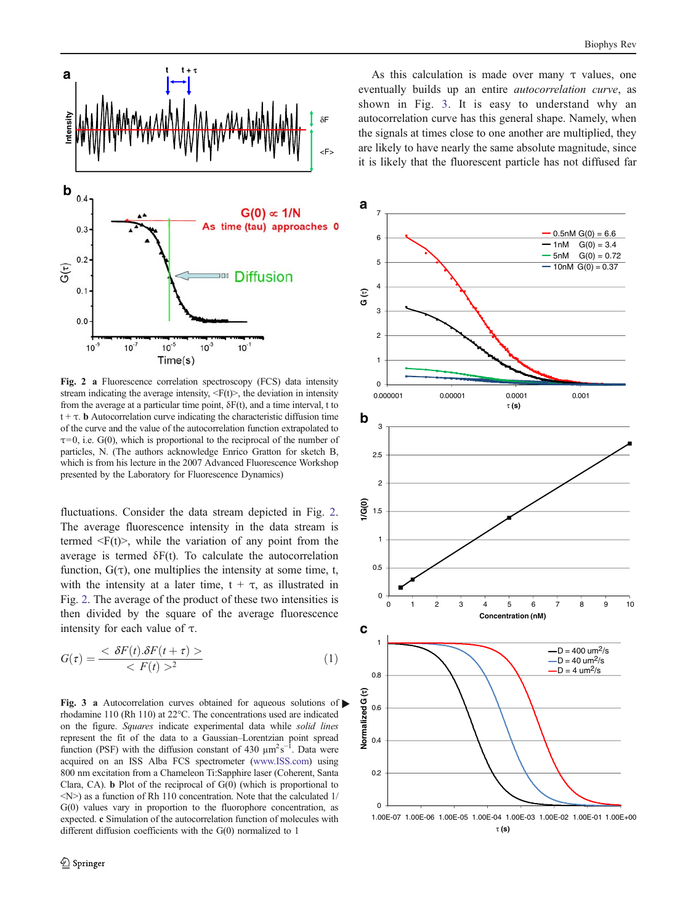

Fig. 2 a Fluorescence correlation spectroscopy (FCS) data intensity stream indicating the average intensity,  $\langle F(t) \rangle$ , the deviation in intensity from the average at a particular time point,  $\delta F(t)$ , and a time interval, t to  $t + \tau$ . **b** Autocorrelation curve indicating the characteristic diffusion time of the curve and the value of the autocorrelation function extrapolated to  $\tau=0$ , i.e. G(0), which is proportional to the reciprocal of the number of particles, N. (The authors acknowledge Enrico Gratton for sketch B, which is from his lecture in the 2007 Advanced Fluorescence Workshop presented by the Laboratory for Fluorescence Dynamics)

fluctuations. Consider the data stream depicted in Fig. 2. The average fluorescence intensity in the data stream is termed  $\langle F(t) \rangle$ , while the variation of any point from the average is termed  $\delta F(t)$ . To calculate the autocorrelation function,  $G(\tau)$ , one multiplies the intensity at some time, t, with the intensity at a later time,  $t + \tau$ , as illustrated in Fig. 2. The average of the product of these two intensities is then divided by the square of the average fluorescence intensity for each value of τ.

$$
G(\tau) = \frac{\langle \delta F(t) . \delta F(t + \tau) \rangle}{\langle F(t) \rangle^2} \tag{1}
$$

Fig. 3 a Autocorrelation curves obtained for aqueous solutions of rhodamine 110 (Rh 110) at 22°C. The concentrations used are indicated on the figure. Squares indicate experimental data while solid lines represent the fit of the data to a Gaussian–Lorentzian point spread function (PSF) with the diffusion constant of 430  $\mu$ m<sup>2</sup>s<sup>-1</sup>. Data were acquired on an ISS Alba FCS spectrometer ([www.ISS.com](http://www.ISS.com)) using 800 nm excitation from a Chameleon Ti:Sapphire laser (Coherent, Santa Clara, CA). b Plot of the reciprocal of G(0) (which is proportional to  $\langle N \rangle$  as a function of Rh 110 concentration. Note that the calculated 1/ G(0) values vary in proportion to the fluorophore concentration, as expected. c Simulation of the autocorrelation function of molecules with different diffusion coefficients with the G(0) normalized to 1

As this calculation is made over many  $\tau$  values, one eventually builds up an entire autocorrelation curve, as shown in Fig. 3. It is easy to understand why an autocorrelation curve has this general shape. Namely, when the signals at times close to one another are multiplied, they are likely to have nearly the same absolute magnitude, since it is likely that the fluorescent particle has not diffused far

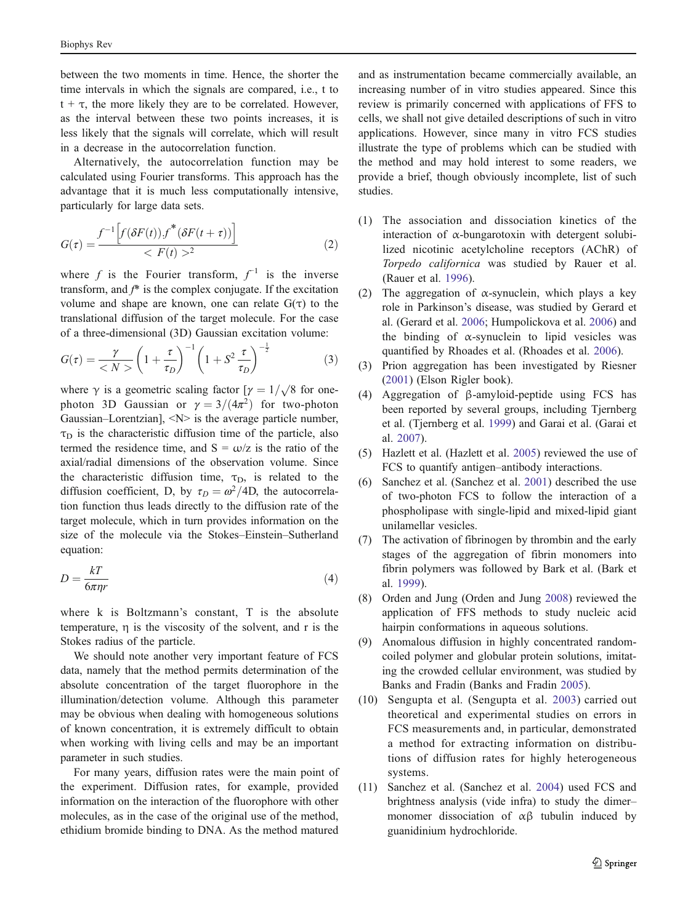between the two moments in time. Hence, the shorter the time intervals in which the signals are compared, i.e., t to  $t + \tau$ , the more likely they are to be correlated. However, as the interval between these two points increases, it is less likely that the signals will correlate, which will result in a decrease in the autocorrelation function.

Alternatively, the autocorrelation function may be calculated using Fourier transforms. This approach has the advantage that it is much less computationally intensive, particularly for large data sets.

$$
G(\tau) = \frac{f^{-1}\left[f(\delta F(t))f^*(\delta F(t+\tau))\right]}{^2}
$$
 (2)

where f is the Fourier transform,  $f^{-1}$  is the inverse transform, and  $f^*$  is the complex conjugate. If the excitation volume and shape are known, one can relate  $G(\tau)$  to the translational diffusion of the target molecule. For the case of a three-dimensional (3D) Gaussian excitation volume:

$$
G(\tau) = \frac{\gamma}{\langle N \rangle} \left(1 + \frac{\tau}{\tau_D}\right)^{-1} \left(1 + S^2 \frac{\tau}{\tau_D}\right)^{-\frac{1}{2}} \tag{3}
$$

where  $\gamma$  is a geometric scaling factor  $\gamma = 1/\sqrt{8}$  for onephoton 3D Gaussian or  $\gamma = 3/(4\pi^2)$  for two-photon Gaussian–Lorentzian], <N> is the average particle number,  $\tau_D$  is the characteristic diffusion time of the particle, also termed the residence time, and  $S = \omega/z$  is the ratio of the axial/radial dimensions of the observation volume. Since the characteristic diffusion time,  $\tau_D$ , is related to the diffusion coefficient, D, by  $\tau_D = \omega^2/4D$ , the autocorrelation function thus leads directly to the diffusion rate of the target molecule, which in turn provides information on the size of the molecule via the Stokes–Einstein–Sutherland equation:

$$
D = \frac{kT}{6\pi\eta r} \tag{4}
$$

where k is Boltzmann's constant, T is the absolute temperature, η is the viscosity of the solvent, and r is the Stokes radius of the particle.

We should note another very important feature of FCS data, namely that the method permits determination of the absolute concentration of the target fluorophore in the illumination/detection volume. Although this parameter may be obvious when dealing with homogeneous solutions of known concentration, it is extremely difficult to obtain when working with living cells and may be an important parameter in such studies.

For many years, diffusion rates were the main point of the experiment. Diffusion rates, for example, provided information on the interaction of the fluorophore with other molecules, as in the case of the original use of the method, ethidium bromide binding to DNA. As the method matured

and as instrumentation became commercially available, an increasing number of in vitro studies appeared. Since this review is primarily concerned with applications of FFS to cells, we shall not give detailed descriptions of such in vitro applications. However, since many in vitro FCS studies illustrate the type of problems which can be studied with the method and may hold interest to some readers, we provide a brief, though obviously incomplete, list of such studies.

- (1) The association and dissociation kinetics of the interaction of  $\alpha$ -bungarotoxin with detergent solubilized nicotinic acetylcholine receptors (AChR) of Torpedo californica was studied by Rauer et al. (Rauer et al. [1996\)](#page-12-0).
- (2) The aggregation of  $\alpha$ -synuclein, which plays a key role in Parkinson's disease, was studied by Gerard et al. (Gerard et al. [2006](#page-11-0); Humpolickova et al. [2006\)](#page-11-0) and the binding of  $\alpha$ -synuclein to lipid vesicles was quantified by Rhoades et al. (Rhoades et al. [2006](#page-12-0)).
- (3) Prion aggregation has been investigated by Riesner [\(2001](#page-12-0)) (Elson Rigler book).
- (4) Aggregation of β-amyloid-peptide using FCS has been reported by several groups, including Tjernberg et al. (Tjernberg et al. [1999\)](#page-12-0) and Garai et al. (Garai et al. [2007\)](#page-11-0).
- (5) Hazlett et al. (Hazlett et al. [2005](#page-11-0)) reviewed the use of FCS to quantify antigen–antibody interactions.
- (6) Sanchez et al. (Sanchez et al. [2001\)](#page-12-0) described the use of two-photon FCS to follow the interaction of a phospholipase with single-lipid and mixed-lipid giant unilamellar vesicles.
- (7) The activation of fibrinogen by thrombin and the early stages of the aggregation of fibrin monomers into fibrin polymers was followed by Bark et al. (Bark et al. [1999\)](#page-10-0).
- (8) Orden and Jung (Orden and Jung [2008\)](#page-12-0) reviewed the application of FFS methods to study nucleic acid hairpin conformations in aqueous solutions.
- (9) Anomalous diffusion in highly concentrated randomcoiled polymer and globular protein solutions, imitating the crowded cellular environment, was studied by Banks and Fradin (Banks and Fradin [2005\)](#page-10-0).
- (10) Sengupta et al. (Sengupta et al. [2003\)](#page-12-0) carried out theoretical and experimental studies on errors in FCS measurements and, in particular, demonstrated a method for extracting information on distributions of diffusion rates for highly heterogeneous systems.
- (11) Sanchez et al. (Sanchez et al. [2004](#page-12-0)) used FCS and brightness analysis (vide infra) to study the dimer– monomer dissociation of  $\alpha\beta$  tubulin induced by guanidinium hydrochloride.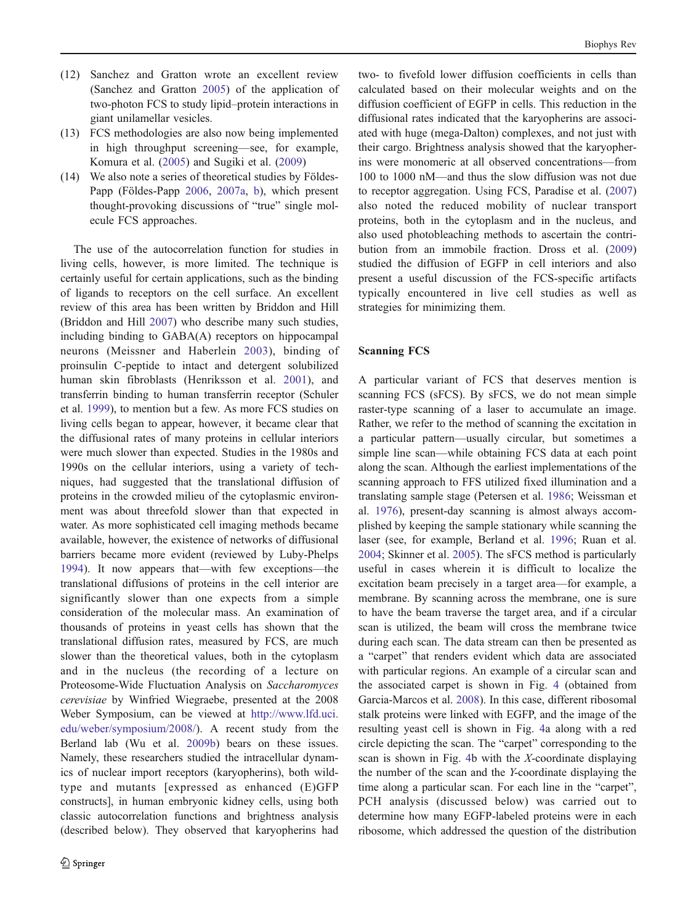- (12) Sanchez and Gratton wrote an excellent review (Sanchez and Gratton [2005](#page-12-0)) of the application of two-photon FCS to study lipid–protein interactions in giant unilamellar vesicles.
- (13) FCS methodologies are also now being implemented in high throughput screening—see, for example, Komura et al. [\(2005](#page-11-0)) and Sugiki et al. ([2009\)](#page-12-0)
- (14) We also note a series of theoretical studies by Földes-Papp (Földes-Papp [2006,](#page-11-0) [2007a](#page-11-0), [b](#page-11-0)), which present thought-provoking discussions of "true" single molecule FCS approaches.

The use of the autocorrelation function for studies in living cells, however, is more limited. The technique is certainly useful for certain applications, such as the binding of ligands to receptors on the cell surface. An excellent review of this area has been written by Briddon and Hill (Briddon and Hill [2007](#page-10-0)) who describe many such studies, including binding to GABA(A) receptors on hippocampal neurons (Meissner and Haberlein [2003\)](#page-12-0), binding of proinsulin C-peptide to intact and detergent solubilized human skin fibroblasts (Henriksson et al. [2001](#page-11-0)), and transferrin binding to human transferrin receptor (Schuler et al. [1999](#page-12-0)), to mention but a few. As more FCS studies on living cells began to appear, however, it became clear that the diffusional rates of many proteins in cellular interiors were much slower than expected. Studies in the 1980s and 1990s on the cellular interiors, using a variety of techniques, had suggested that the translational diffusion of proteins in the crowded milieu of the cytoplasmic environment was about threefold slower than that expected in water. As more sophisticated cell imaging methods became available, however, the existence of networks of diffusional barriers became more evident (reviewed by Luby-Phelps [1994\)](#page-11-0). It now appears that—with few exceptions—the translational diffusions of proteins in the cell interior are significantly slower than one expects from a simple consideration of the molecular mass. An examination of thousands of proteins in yeast cells has shown that the translational diffusion rates, measured by FCS, are much slower than the theoretical values, both in the cytoplasm and in the nucleus (the recording of a lecture on Proteosome-Wide Fluctuation Analysis on Saccharomyces cerevisiae by Winfried Wiegraebe, presented at the 2008 Weber Symposium, can be viewed at [http://www.lfd.uci.](http://www.lfd.uci.edu/weber/symposium/2008/) [edu/weber/symposium/2008/\)](http://www.lfd.uci.edu/weber/symposium/2008/). A recent study from the Berland lab (Wu et al. [2009b\)](#page-13-0) bears on these issues. Namely, these researchers studied the intracellular dynamics of nuclear import receptors (karyopherins), both wildtype and mutants [expressed as enhanced (E)GFP constructs], in human embryonic kidney cells, using both classic autocorrelation functions and brightness analysis (described below). They observed that karyopherins had two- to fivefold lower diffusion coefficients in cells than calculated based on their molecular weights and on the diffusion coefficient of EGFP in cells. This reduction in the diffusional rates indicated that the karyopherins are associated with huge (mega-Dalton) complexes, and not just with their cargo. Brightness analysis showed that the karyopherins were monomeric at all observed concentrations—from 100 to 1000 nM—and thus the slow diffusion was not due to receptor aggregation. Using FCS, Paradise et al. ([2007\)](#page-12-0) also noted the reduced mobility of nuclear transport proteins, both in the cytoplasm and in the nucleus, and also used photobleaching methods to ascertain the contribution from an immobile fraction. Dross et al. ([2009\)](#page-11-0) studied the diffusion of EGFP in cell interiors and also present a useful discussion of the FCS-specific artifacts typically encountered in live cell studies as well as strategies for minimizing them.

## Scanning FCS

A particular variant of FCS that deserves mention is scanning FCS (sFCS). By sFCS, we do not mean simple raster-type scanning of a laser to accumulate an image. Rather, we refer to the method of scanning the excitation in a particular pattern—usually circular, but sometimes a simple line scan—while obtaining FCS data at each point along the scan. Although the earliest implementations of the scanning approach to FFS utilized fixed illumination and a translating sample stage (Petersen et al. [1986](#page-12-0); Weissman et al. [1976\)](#page-13-0), present-day scanning is almost always accomplished by keeping the sample stationary while scanning the laser (see, for example, Berland et al. [1996;](#page-10-0) Ruan et al. [2004;](#page-12-0) Skinner et al. [2005](#page-12-0)). The sFCS method is particularly useful in cases wherein it is difficult to localize the excitation beam precisely in a target area—for example, a membrane. By scanning across the membrane, one is sure to have the beam traverse the target area, and if a circular scan is utilized, the beam will cross the membrane twice during each scan. The data stream can then be presented as a "carpet" that renders evident which data are associated with particular regions. An example of a circular scan and the associated carpet is shown in Fig. [4](#page-6-0) (obtained from Garcia-Marcos et al. [2008\)](#page-11-0). In this case, different ribosomal stalk proteins were linked with EGFP, and the image of the resulting yeast cell is shown in Fig. [4a](#page-6-0) along with a red circle depicting the scan. The "carpet" corresponding to the scan is shown in Fig. [4b](#page-6-0) with the X-coordinate displaying the number of the scan and the Y-coordinate displaying the time along a particular scan. For each line in the "carpet", PCH analysis (discussed below) was carried out to determine how many EGFP-labeled proteins were in each ribosome, which addressed the question of the distribution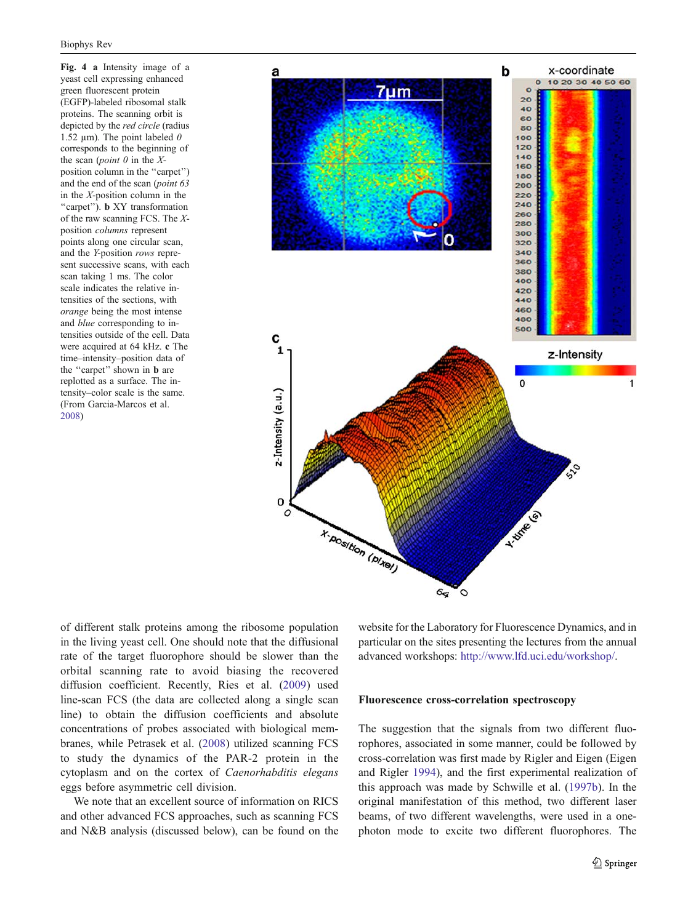<span id="page-6-0"></span>Fig. 4 a Intensity image of a yeast cell expressing enhanced green fluorescent protein (EGFP)-labeled ribosomal stalk proteins. The scanning orbit is depicted by the red circle (radius 1.52  $\mu$ m). The point labeled 0 corresponds to the beginning of the scan (*point*  $\theta$  in the  $X$ position column in the ''carpet'') and the end of the scan (point 63 in the  $X$ -position column in the "carpet"). **b** XY transformation of the raw scanning FCS. The Xposition columns represent points along one circular scan, and the Y-position rows represent successive scans, with each scan taking 1 ms. The color scale indicates the relative intensities of the sections, with orange being the most intense and blue corresponding to intensities outside of the cell. Data were acquired at 64 kHz. c The time–intensity–position data of the ''carpet'' shown in b are replotted as a surface. The intensity–color scale is the same. (From Garcia-Marcos et al. [2008\)](#page-11-0)



of different stalk proteins among the ribosome population in the living yeast cell. One should note that the diffusional rate of the target fluorophore should be slower than the orbital scanning rate to avoid biasing the recovered diffusion coefficient. Recently, Ries et al. [\(2009](#page-12-0)) used line-scan FCS (the data are collected along a single scan line) to obtain the diffusion coefficients and absolute concentrations of probes associated with biological membranes, while Petrasek et al. [\(2008](#page-12-0)) utilized scanning FCS to study the dynamics of the PAR-2 protein in the cytoplasm and on the cortex of Caenorhabditis elegans eggs before asymmetric cell division.

We note that an excellent source of information on RICS and other advanced FCS approaches, such as scanning FCS and N&B analysis (discussed below), can be found on the

website for the Laboratory for Fluorescence Dynamics, and in particular on the sites presenting the lectures from the annual advanced workshops: <http://www.lfd.uci.edu/workshop/>.

#### Fluorescence cross-correlation spectroscopy

The suggestion that the signals from two different fluorophores, associated in some manner, could be followed by cross-correlation was first made by Rigler and Eigen (Eigen and Rigler [1994](#page-11-0)), and the first experimental realization of this approach was made by Schwille et al. ([1997b\)](#page-12-0). In the original manifestation of this method, two different laser beams, of two different wavelengths, were used in a onephoton mode to excite two different fluorophores. The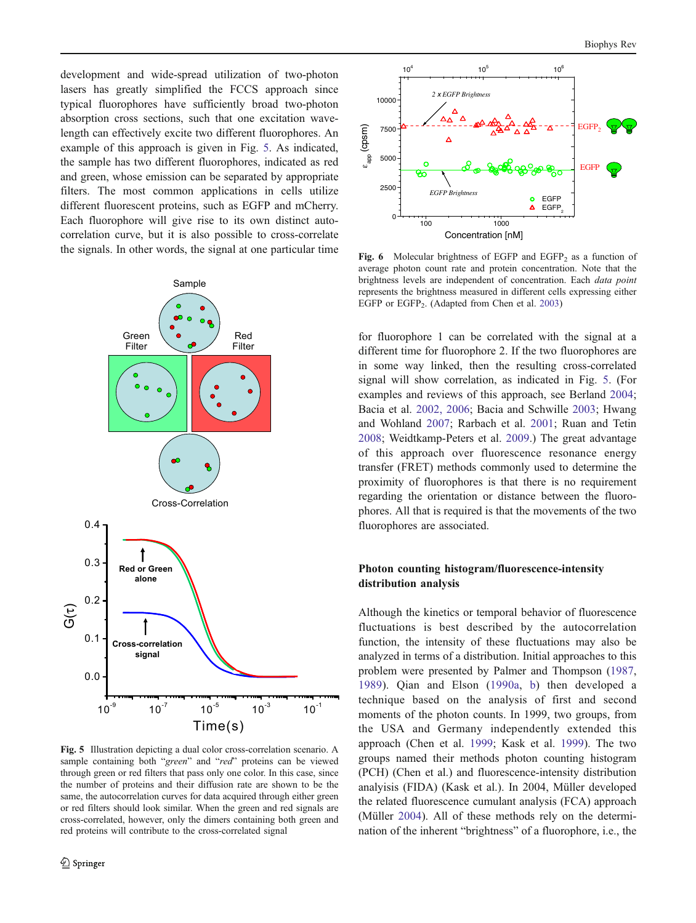<span id="page-7-0"></span>development and wide-spread utilization of two-photon lasers has greatly simplified the FCCS approach since typical fluorophores have sufficiently broad two-photon absorption cross sections, such that one excitation wavelength can effectively excite two different fluorophores. An example of this approach is given in Fig. 5. As indicated, the sample has two different fluorophores, indicated as red and green, whose emission can be separated by appropriate filters. The most common applications in cells utilize different fluorescent proteins, such as EGFP and mCherry. Each fluorophore will give rise to its own distinct autocorrelation curve, but it is also possible to cross-correlate the signals. In other words, the signal at one particular time



Fig. 5 Illustration depicting a dual color cross-correlation scenario. A sample containing both "green" and "red" proteins can be viewed through green or red filters that pass only one color. In this case, since the number of proteins and their diffusion rate are shown to be the same, the autocorrelation curves for data acquired through either green or red filters should look similar. When the green and red signals are cross-correlated, however, only the dimers containing both green and red proteins will contribute to the cross-correlated signal



Fig. 6 Molecular brightness of EGFP and EGFP<sub>2</sub> as a function of average photon count rate and protein concentration. Note that the brightness levels are independent of concentration. Each data point represents the brightness measured in different cells expressing either EGFP or EGFP<sub>2</sub>. (Adapted from Chen et al. [2003\)](#page-11-0)

for fluorophore 1 can be correlated with the signal at a different time for fluorophore 2. If the two fluorophores are in some way linked, then the resulting cross-correlated signal will show correlation, as indicated in Fig. 5. (For examples and reviews of this approach, see Berland [2004](#page-10-0); Bacia et al. [2002, 2006](#page-10-0); Bacia and Schwille [2003](#page-10-0); Hwang and Wohland [2007](#page-11-0); Rarbach et al. [2001](#page-12-0); Ruan and Tetin [2008;](#page-12-0) Weidtkamp-Peters et al. [2009](#page-13-0).) The great advantage of this approach over fluorescence resonance energy transfer (FRET) methods commonly used to determine the proximity of fluorophores is that there is no requirement regarding the orientation or distance between the fluorophores. All that is required is that the movements of the two fluorophores are associated.

# Photon counting histogram/fluorescence-intensity distribution analysis

Although the kinetics or temporal behavior of fluorescence fluctuations is best described by the autocorrelation function, the intensity of these fluctuations may also be analyzed in terms of a distribution. Initial approaches to this problem were presented by Palmer and Thompson [\(1987](#page-12-0), [1989](#page-12-0)). Qian and Elson ([1990a,](#page-12-0) [b\)](#page-12-0) then developed a technique based on the analysis of first and second moments of the photon counts. In 1999, two groups, from the USA and Germany independently extended this approach (Chen et al. [1999](#page-11-0); Kask et al. [1999\)](#page-11-0). The two groups named their methods photon counting histogram (PCH) (Chen et al.) and fluorescence-intensity distribution analyisis (FIDA) (Kask et al.). In 2004, Müller developed the related fluorescence cumulant analysis (FCA) approach (Müller [2004\)](#page-12-0). All of these methods rely on the determination of the inherent "brightness" of a fluorophore, i.e., the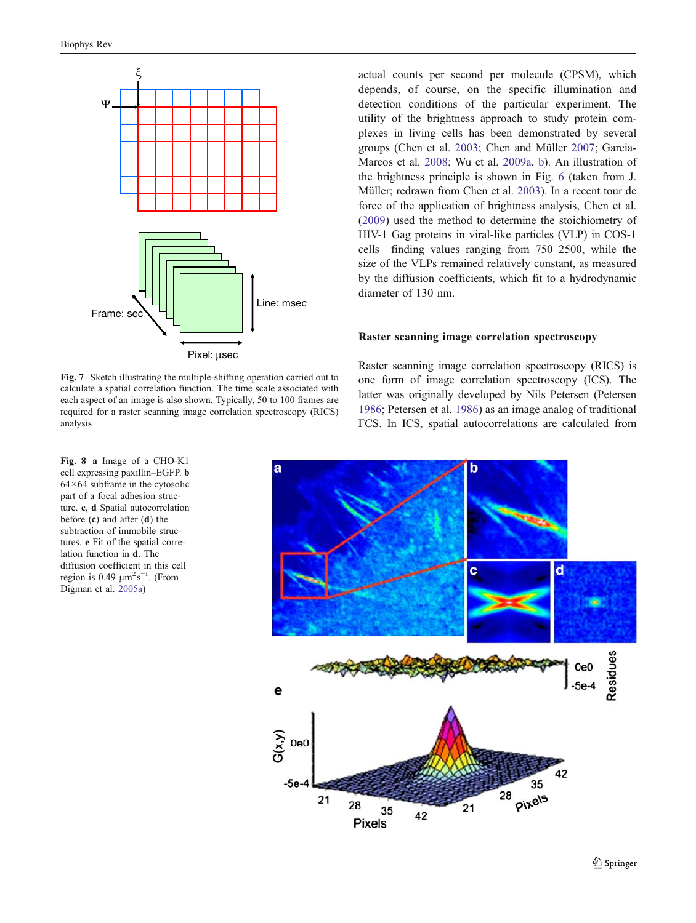<span id="page-8-0"></span>

Fig. 7 Sketch illustrating the multiple-shifting operation carried out to calculate a spatial correlation function. The time scale associated with each aspect of an image is also shown. Typically, 50 to 100 frames are required for a raster scanning image correlation spectroscopy (RICS) analysis



actual counts per second per molecule (CPSM), which depends, of course, on the specific illumination and detection conditions of the particular experiment. The utility of the brightness approach to study protein complexes in living cells has been demonstrated by several groups (Chen et al. [2003](#page-11-0); Chen and Müller [2007](#page-10-0); Garcia-Marcos et al. [2008](#page-11-0); Wu et al. [2009a,](#page-13-0) [b\)](#page-13-0). An illustration of the brightness principle is shown in Fig. [6](#page-7-0) (taken from J. Müller; redrawn from Chen et al. [2003\)](#page-11-0). In a recent tour de force of the application of brightness analysis, Chen et al. [\(2009\)](#page-11-0) used the method to determine the stoichiometry of HIV-1 Gag proteins in viral-like particles (VLP) in COS-1 cells—finding values ranging from 750–2500, while the size of the VLPs remained relatively constant, as measured by the diffusion coefficients, which fit to a hydrodynamic diameter of 130 nm.

### Raster scanning image correlation spectroscopy

Raster scanning image correlation spectroscopy (RICS) is one form of image correlation spectroscopy (ICS). The latter was originally developed by Nils Petersen (Petersen [1986;](#page-12-0) Petersen et al. [1986\)](#page-12-0) as an image analog of traditional FCS. In ICS, spatial autocorrelations are calculated from

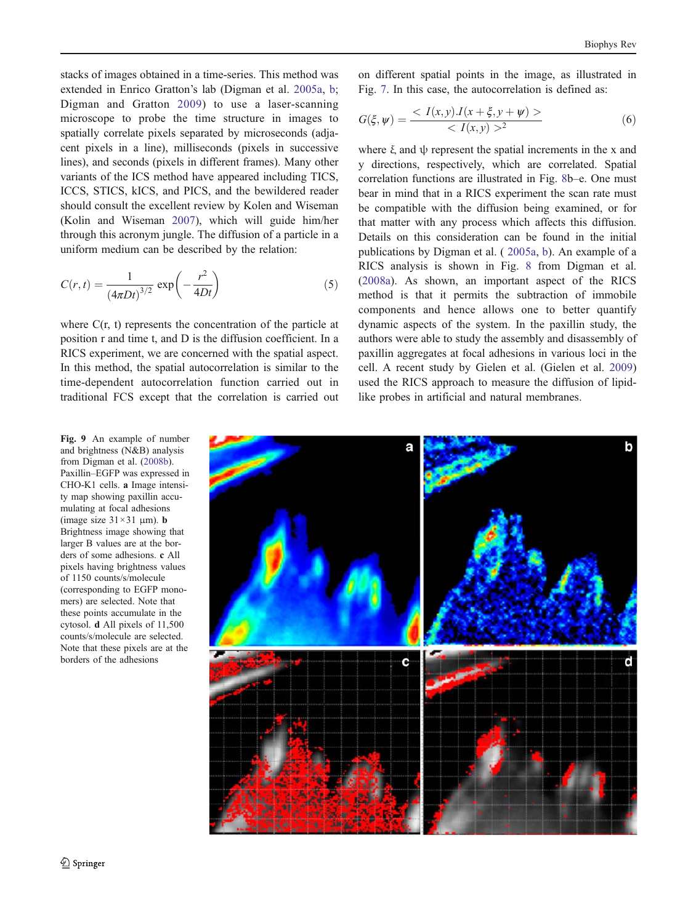<span id="page-9-0"></span>stacks of images obtained in a time-series. This method was extended in Enrico Gratton's lab (Digman et al. [2005a,](#page-11-0) [b](#page-11-0); Digman and Gratton [2009\)](#page-11-0) to use a laser-scanning microscope to probe the time structure in images to spatially correlate pixels separated by microseconds (adjacent pixels in a line), milliseconds (pixels in successive lines), and seconds (pixels in different frames). Many other variants of the ICS method have appeared including TICS, ICCS, STICS, kICS, and PICS, and the bewildered reader should consult the excellent review by Kolen and Wiseman (Kolin and Wiseman [2007](#page-11-0)), which will guide him/her through this acronym jungle. The diffusion of a particle in a uniform medium can be described by the relation:

$$
C(r,t) = \frac{1}{(4\pi Dt)^{3/2}} \exp\left(-\frac{r^2}{4Dt}\right)
$$
 (5)

where C(r, t) represents the concentration of the particle at position r and time t, and D is the diffusion coefficient. In a RICS experiment, we are concerned with the spatial aspect. In this method, the spatial autocorrelation is similar to the time-dependent autocorrelation function carried out in traditional FCS except that the correlation is carried out on different spatial points in the image, as illustrated in Fig. [7.](#page-8-0) In this case, the autocorrelation is defined as:

$$
G(\xi, \psi) = \frac{< I(x, y) \cdot I(x + \xi, y + \psi) >}{< I(x, y) >^2} \tag{6}
$$

where  $\xi$  and  $\psi$  represent the spatial increments in the x and y directions, respectively, which are correlated. Spatial correlation functions are illustrated in Fig. [8b](#page-8-0)–e. One must bear in mind that in a RICS experiment the scan rate must be compatible with the diffusion being examined, or for that matter with any process which affects this diffusion. Details on this consideration can be found in the initial publications by Digman et al. ( [2005a,](#page-11-0) [b](#page-11-0)). An example of a RICS analysis is shown in Fig. [8](#page-8-0) from Digman et al. [\(2008a](#page-11-0)). As shown, an important aspect of the RICS method is that it permits the subtraction of immobile components and hence allows one to better quantify dynamic aspects of the system. In the paxillin study, the authors were able to study the assembly and disassembly of paxillin aggregates at focal adhesions in various loci in the cell. A recent study by Gielen et al. (Gielen et al. [2009\)](#page-11-0) used the RICS approach to measure the diffusion of lipidlike probes in artificial and natural membranes.

Fig. 9 An example of number and brightness (N&B) analysis from Digman et al. [\(2008b](#page-11-0)). Paxillin–EGFP was expressed in CHO-K1 cells. a Image intensity map showing paxillin accumulating at focal adhesions (image size  $31 \times 31$  μm). **b** Brightness image showing that larger B values are at the borders of some adhesions. c All pixels having brightness values of 1150 counts/s/molecule (corresponding to EGFP monomers) are selected. Note that these points accumulate in the cytosol. d All pixels of 11,500 counts/s/molecule are selected. Note that these pixels are at the borders of the adhesions

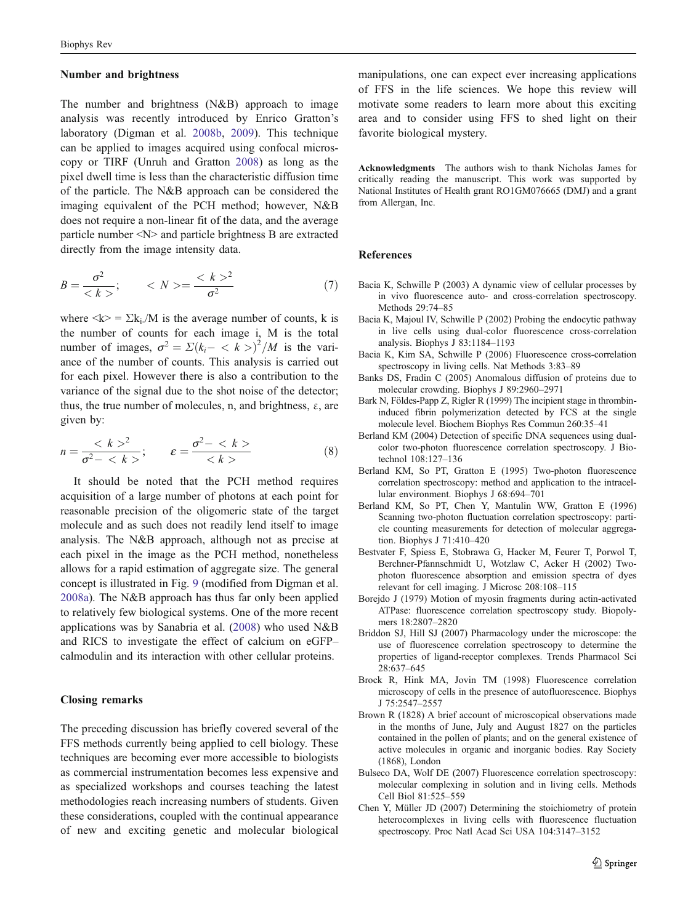### <span id="page-10-0"></span>Number and brightness

The number and brightness (N&B) approach to image analysis was recently introduced by Enrico Gratton's laboratory (Digman et al. [2008b,](#page-11-0) [2009\)](#page-11-0). This technique can be applied to images acquired using confocal microscopy or TIRF (Unruh and Gratton [2008\)](#page-12-0) as long as the pixel dwell time is less than the characteristic diffusion time of the particle. The N&B approach can be considered the imaging equivalent of the PCH method; however, N&B does not require a non-linear fit of the data, and the average particle number <N> and particle brightness B are extracted directly from the image intensity data.

$$
B = \frac{\sigma^2}{\langle k \rangle}; \qquad \langle N \rangle = \frac{\langle k \rangle^2}{\sigma^2} \tag{7}
$$

where  $\langle k \rangle = \sum k_i/M$  is the average number of counts, k is the number of counts for each image i, M is the total number of images,  $\sigma^2 = \sum (k_i - \langle k \rangle)^2 / M$  is the variance of the number of counts. This analysis is carried out for each pixel. However there is also a contribution to the variance of the signal due to the shot noise of the detector; thus, the true number of molecules, n, and brightness,  $ε$ , are given by:

$$
n = \frac{\langle k \rangle^2}{\sigma^2 - \langle k \rangle}; \qquad \varepsilon = \frac{\sigma^2 - \langle k \rangle}{\langle k \rangle} \tag{8}
$$

It should be noted that the PCH method requires acquisition of a large number of photons at each point for reasonable precision of the oligomeric state of the target molecule and as such does not readily lend itself to image analysis. The N&B approach, although not as precise at each pixel in the image as the PCH method, nonetheless allows for a rapid estimation of aggregate size. The general concept is illustrated in Fig. [9](#page-9-0) (modified from Digman et al. [2008a\)](#page-11-0). The N&B approach has thus far only been applied to relatively few biological systems. One of the more recent applications was by Sanabria et al. ([2008](#page-12-0)) who used N&B and RICS to investigate the effect of calcium on eGFP– calmodulin and its interaction with other cellular proteins.

# Closing remarks

The preceding discussion has briefly covered several of the FFS methods currently being applied to cell biology. These techniques are becoming ever more accessible to biologists as commercial instrumentation becomes less expensive and as specialized workshops and courses teaching the latest methodologies reach increasing numbers of students. Given these considerations, coupled with the continual appearance of new and exciting genetic and molecular biological

manipulations, one can expect ever increasing applications of FFS in the life sciences. We hope this review will motivate some readers to learn more about this exciting area and to consider using FFS to shed light on their favorite biological mystery.

Acknowledgments The authors wish to thank Nicholas James for critically reading the manuscript. This work was supported by National Institutes of Health grant RO1GM076665 (DMJ) and a grant from Allergan, Inc.

## References

- Bacia K, Schwille P (2003) A dynamic view of cellular processes by in vivo fluorescence auto- and cross-correlation spectroscopy. Methods 29:74–85
- Bacia K, Majoul IV, Schwille P (2002) Probing the endocytic pathway in live cells using dual-color fluorescence cross-correlation analysis. Biophys J 83:1184–1193
- Bacia K, Kim SA, Schwille P (2006) Fluorescence cross-correlation spectroscopy in living cells. Nat Methods 3:83–89
- Banks DS, Fradin C (2005) Anomalous diffusion of proteins due to molecular crowding. Biophys J 89:2960–2971
- Bark N, Földes-Papp Z, Rigler R (1999) The incipient stage in thrombininduced fibrin polymerization detected by FCS at the single molecule level. Biochem Biophys Res Commun 260:35–41
- Berland KM (2004) Detection of specific DNA sequences using dualcolor two-photon fluorescence correlation spectroscopy. J Biotechnol 108:127–136
- Berland KM, So PT, Gratton E (1995) Two-photon fluorescence correlation spectroscopy: method and application to the intracellular environment. Biophys J 68:694–701
- Berland KM, So PT, Chen Y, Mantulin WW, Gratton E (1996) Scanning two-photon fluctuation correlation spectroscopy: particle counting measurements for detection of molecular aggregation. Biophys J 71:410–420
- Bestvater F, Spiess E, Stobrawa G, Hacker M, Feurer T, Porwol T, Berchner-Pfannschmidt U, Wotzlaw C, Acker H (2002) Twophoton fluorescence absorption and emission spectra of dyes relevant for cell imaging. J Microsc 208:108–115
- Borejdo J (1979) Motion of myosin fragments during actin-activated ATPase: fluorescence correlation spectroscopy study. Biopolymers 18:2807–2820
- Briddon SJ, Hill SJ (2007) Pharmacology under the microscope: the use of fluorescence correlation spectroscopy to determine the properties of ligand-receptor complexes. Trends Pharmacol Sci 28:637–645
- Brock R, Hink MA, Jovin TM (1998) Fluorescence correlation microscopy of cells in the presence of autofluorescence. Biophys J 75:2547–2557
- Brown R (1828) A brief account of microscopical observations made in the months of June, July and August 1827 on the particles contained in the pollen of plants; and on the general existence of active molecules in organic and inorganic bodies. Ray Society (1868), London
- Bulseco DA, Wolf DE (2007) Fluorescence correlation spectroscopy: molecular complexing in solution and in living cells. Methods Cell Biol 81:525–559
- Chen Y, Müller JD (2007) Determining the stoichiometry of protein heterocomplexes in living cells with fluorescence fluctuation spectroscopy. Proc Natl Acad Sci USA 104:3147–3152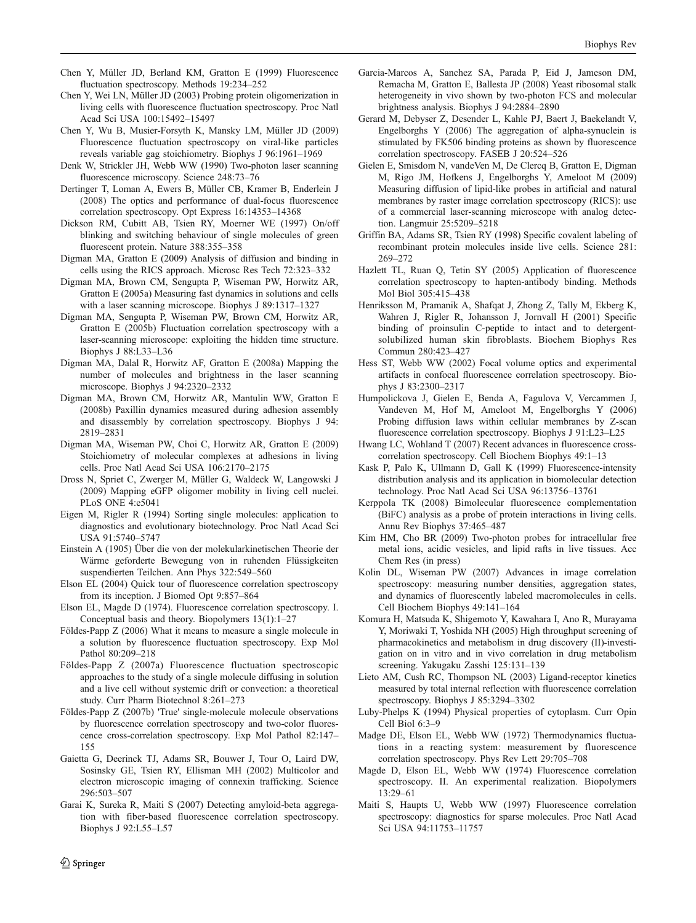- <span id="page-11-0"></span>Chen Y, Müller JD, Berland KM, Gratton E (1999) Fluorescence fluctuation spectroscopy. Methods 19:234–252
- Chen Y, Wei LN, Müller JD (2003) Probing protein oligomerization in living cells with fluorescence fluctuation spectroscopy. Proc Natl Acad Sci USA 100:15492–15497
- Chen Y, Wu B, Musier-Forsyth K, Mansky LM, Müller JD (2009) Fluorescence fluctuation spectroscopy on viral-like particles reveals variable gag stoichiometry. Biophys J 96:1961–1969
- Denk W, Strickler JH, Webb WW (1990) Two-photon laser scanning fluorescence microscopy. Science 248:73–76
- Dertinger T, Loman A, Ewers B, Müller CB, Kramer B, Enderlein J (2008) The optics and performance of dual-focus fluorescence correlation spectroscopy. Opt Express 16:14353–14368
- Dickson RM, Cubitt AB, Tsien RY, Moerner WE (1997) On/off blinking and switching behaviour of single molecules of green fluorescent protein. Nature 388:355–358
- Digman MA, Gratton E (2009) Analysis of diffusion and binding in cells using the RICS approach. Microsc Res Tech 72:323–332
- Digman MA, Brown CM, Sengupta P, Wiseman PW, Horwitz AR, Gratton E (2005a) Measuring fast dynamics in solutions and cells with a laser scanning microscope. Biophys J 89:1317–1327
- Digman MA, Sengupta P, Wiseman PW, Brown CM, Horwitz AR, Gratton E (2005b) Fluctuation correlation spectroscopy with a laser-scanning microscope: exploiting the hidden time structure. Biophys J 88:L33–L36
- Digman MA, Dalal R, Horwitz AF, Gratton E (2008a) Mapping the number of molecules and brightness in the laser scanning microscope. Biophys J 94:2320–2332
- Digman MA, Brown CM, Horwitz AR, Mantulin WW, Gratton E (2008b) Paxillin dynamics measured during adhesion assembly and disassembly by correlation spectroscopy. Biophys J 94: 2819–2831
- Digman MA, Wiseman PW, Choi C, Horwitz AR, Gratton E (2009) Stoichiometry of molecular complexes at adhesions in living cells. Proc Natl Acad Sci USA 106:2170–2175
- Dross N, Spriet C, Zwerger M, Müller G, Waldeck W, Langowski J (2009) Mapping eGFP oligomer mobility in living cell nuclei. PLoS ONE 4:e5041
- Eigen M, Rigler R (1994) Sorting single molecules: application to diagnostics and evolutionary biotechnology. Proc Natl Acad Sci USA 91:5740–5747
- Einstein A (1905) Über die von der molekularkinetischen Theorie der Wärme geforderte Bewegung von in ruhenden Flüssigkeiten suspendierten Teilchen. Ann Phys 322:549–560
- Elson EL (2004) Quick tour of fluorescence correlation spectroscopy from its inception. J Biomed Opt 9:857–864
- Elson EL, Magde D (1974). Fluorescence correlation spectroscopy. I. Conceptual basis and theory. Biopolymers 13(1):1–27
- Földes-Papp Z (2006) What it means to measure a single molecule in a solution by fluorescence fluctuation spectroscopy. Exp Mol Pathol 80:209–218
- Földes-Papp Z (2007a) Fluorescence fluctuation spectroscopic approaches to the study of a single molecule diffusing in solution and a live cell without systemic drift or convection: a theoretical study. Curr Pharm Biotechnol 8:261–273
- Földes-Papp Z (2007b) 'True' single-molecule molecule observations by fluorescence correlation spectroscopy and two-color fluorescence cross-correlation spectroscopy. Exp Mol Pathol 82:147– 155
- Gaietta G, Deerinck TJ, Adams SR, Bouwer J, Tour O, Laird DW, Sosinsky GE, Tsien RY, Ellisman MH (2002) Multicolor and electron microscopic imaging of connexin trafficking. Science 296:503–507
- Garai K, Sureka R, Maiti S (2007) Detecting amyloid-beta aggregation with fiber-based fluorescence correlation spectroscopy. Biophys J 92:L55–L57
- Garcia-Marcos A, Sanchez SA, Parada P, Eid J, Jameson DM, Remacha M, Gratton E, Ballesta JP (2008) Yeast ribosomal stalk heterogeneity in vivo shown by two-photon FCS and molecular brightness analysis. Biophys J 94:2884–2890
- Gerard M, Debyser Z, Desender L, Kahle PJ, Baert J, Baekelandt V, Engelborghs Y (2006) The aggregation of alpha-synuclein is stimulated by FK506 binding proteins as shown by fluorescence correlation spectroscopy. FASEB J 20:524–526
- Gielen E, Smisdom N, vandeVen M, De Clercq B, Gratton E, Digman M, Rigo JM, Hofkens J, Engelborghs Y, Ameloot M (2009) Measuring diffusion of lipid-like probes in artificial and natural membranes by raster image correlation spectroscopy (RICS): use of a commercial laser-scanning microscope with analog detection. Langmuir 25:5209–5218
- Griffin BA, Adams SR, Tsien RY (1998) Specific covalent labeling of recombinant protein molecules inside live cells. Science 281: 269–272
- Hazlett TL, Ruan Q, Tetin SY (2005) Application of fluorescence correlation spectroscopy to hapten-antibody binding. Methods Mol Biol 305:415–438
- Henriksson M, Pramanik A, Shafqat J, Zhong Z, Tally M, Ekberg K, Wahren J, Rigler R, Johansson J, Jornvall H (2001) Specific binding of proinsulin C-peptide to intact and to detergentsolubilized human skin fibroblasts. Biochem Biophys Res Commun 280:423–427
- Hess ST, Webb WW (2002) Focal volume optics and experimental artifacts in confocal fluorescence correlation spectroscopy. Biophys J 83:2300–2317
- Humpolickova J, Gielen E, Benda A, Fagulova V, Vercammen J, Vandeven M, Hof M, Ameloot M, Engelborghs Y (2006) Probing diffusion laws within cellular membranes by Z-scan fluorescence correlation spectroscopy. Biophys J 91:L23–L25
- Hwang LC, Wohland T (2007) Recent advances in fluorescence crosscorrelation spectroscopy. Cell Biochem Biophys 49:1–13
- Kask P, Palo K, Ullmann D, Gall K (1999) Fluorescence-intensity distribution analysis and its application in biomolecular detection technology. Proc Natl Acad Sci USA 96:13756–13761
- Kerppola TK (2008) Bimolecular fluorescence complementation (BiFC) analysis as a probe of protein interactions in living cells. Annu Rev Biophys 37:465–487
- Kim HM, Cho BR (2009) Two-photon probes for intracellular free metal ions, acidic vesicles, and lipid rafts in live tissues. Acc Chem Res (in press)
- Kolin DL, Wiseman PW (2007) Advances in image correlation spectroscopy: measuring number densities, aggregation states, and dynamics of fluorescently labeled macromolecules in cells. Cell Biochem Biophys 49:141–164
- Komura H, Matsuda K, Shigemoto Y, Kawahara I, Ano R, Murayama Y, Moriwaki T, Yoshida NH (2005) High throughput screening of pharmacokinetics and metabolism in drug discovery (II)-investigation on in vitro and in vivo correlation in drug metabolism screening. Yakugaku Zasshi 125:131–139
- Lieto AM, Cush RC, Thompson NL (2003) Ligand-receptor kinetics measured by total internal reflection with fluorescence correlation spectroscopy. Biophys J 85:3294–3302
- Luby-Phelps K (1994) Physical properties of cytoplasm. Curr Opin Cell Biol  $6:3-9$
- Madge DE, Elson EL, Webb WW (1972) Thermodynamics fluctuations in a reacting system: measurement by fluorescence correlation spectroscopy. Phys Rev Lett 29:705–708
- Magde D, Elson EL, Webb WW (1974) Fluorescence correlation spectroscopy. II. An experimental realization. Biopolymers 13:29–61
- Maiti S, Haupts U, Webb WW (1997) Fluorescence correlation spectroscopy: diagnostics for sparse molecules. Proc Natl Acad Sci USA 94:11753–11757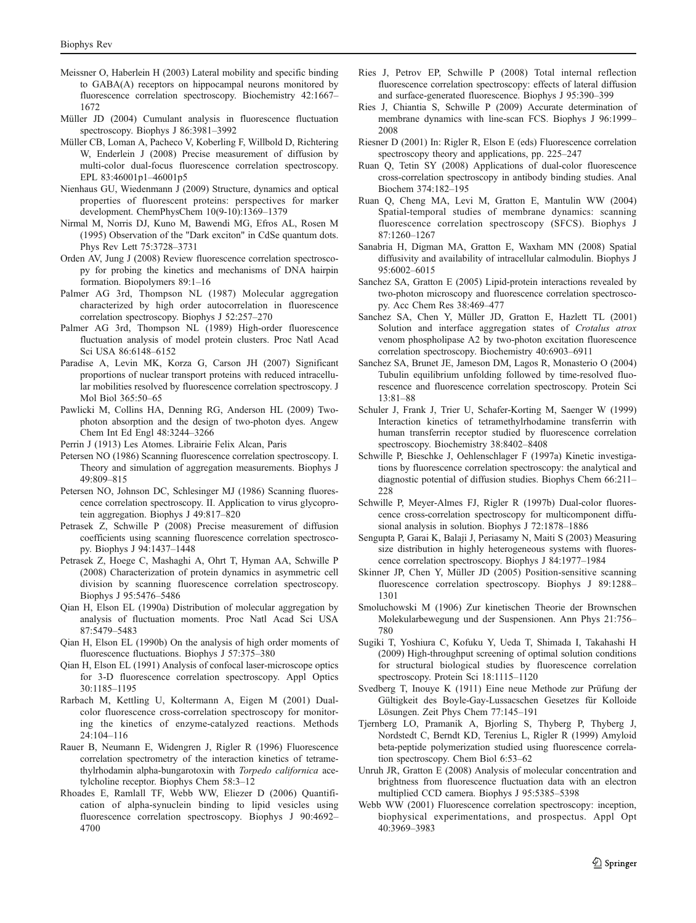- <span id="page-12-0"></span>Meissner O, Haberlein H (2003) Lateral mobility and specific binding to GABA(A) receptors on hippocampal neurons monitored by fluorescence correlation spectroscopy. Biochemistry 42:1667– 1672
- Müller JD (2004) Cumulant analysis in fluorescence fluctuation spectroscopy. Biophys J 86:3981–3992
- Müller CB, Loman A, Pacheco V, Koberling F, Willbold D, Richtering W, Enderlein J (2008) Precise measurement of diffusion by multi-color dual-focus fluorescence correlation spectroscopy. EPL 83:46001p1–46001p5
- Nienhaus GU, Wiedenmann J (2009) Structure, dynamics and optical properties of fluorescent proteins: perspectives for marker development. ChemPhysChem 10(9-10):1369–1379
- Nirmal M, Norris DJ, Kuno M, Bawendi MG, Efros AL, Rosen M (1995) Observation of the "Dark exciton" in CdSe quantum dots. Phys Rev Lett 75:3728–3731
- Orden AV, Jung J (2008) Review fluorescence correlation spectroscopy for probing the kinetics and mechanisms of DNA hairpin formation. Biopolymers 89:1–16
- Palmer AG 3rd, Thompson NL (1987) Molecular aggregation characterized by high order autocorrelation in fluorescence correlation spectroscopy. Biophys J 52:257–270
- Palmer AG 3rd, Thompson NL (1989) High-order fluorescence fluctuation analysis of model protein clusters. Proc Natl Acad Sci USA 86:6148–6152
- Paradise A, Levin MK, Korza G, Carson JH (2007) Significant proportions of nuclear transport proteins with reduced intracellular mobilities resolved by fluorescence correlation spectroscopy. J Mol Biol 365:50–65
- Pawlicki M, Collins HA, Denning RG, Anderson HL (2009) Twophoton absorption and the design of two-photon dyes. Angew Chem Int Ed Engl 48:3244–3266
- Perrin J (1913) Les Atomes. Librairie Felix Alcan, Paris
- Petersen NO (1986) Scanning fluorescence correlation spectroscopy. I. Theory and simulation of aggregation measurements. Biophys J 49:809–815
- Petersen NO, Johnson DC, Schlesinger MJ (1986) Scanning fluorescence correlation spectroscopy. II. Application to virus glycoprotein aggregation. Biophys J 49:817–820
- Petrasek Z, Schwille P (2008) Precise measurement of diffusion coefficients using scanning fluorescence correlation spectroscopy. Biophys J 94:1437–1448
- Petrasek Z, Hoege C, Mashaghi A, Ohrt T, Hyman AA, Schwille P (2008) Characterization of protein dynamics in asymmetric cell division by scanning fluorescence correlation spectroscopy. Biophys J 95:5476–5486
- Qian H, Elson EL (1990a) Distribution of molecular aggregation by analysis of fluctuation moments. Proc Natl Acad Sci USA 87:5479–5483
- Qian H, Elson EL (1990b) On the analysis of high order moments of fluorescence fluctuations. Biophys J 57:375–380
- Qian H, Elson EL (1991) Analysis of confocal laser-microscope optics for 3-D fluorescence correlation spectroscopy. Appl Optics 30:1185–1195
- Rarbach M, Kettling U, Koltermann A, Eigen M (2001) Dualcolor fluorescence cross-correlation spectroscopy for monitoring the kinetics of enzyme-catalyzed reactions. Methods 24:104–116
- Rauer B, Neumann E, Widengren J, Rigler R (1996) Fluorescence correlation spectrometry of the interaction kinetics of tetramethylrhodamin alpha-bungarotoxin with Torpedo californica acetylcholine receptor. Biophys Chem 58:3–12
- Rhoades E, Ramlall TF, Webb WW, Eliezer D (2006) Quantification of alpha-synuclein binding to lipid vesicles using fluorescence correlation spectroscopy. Biophys J 90:4692– 4700
- Ries J, Petrov EP, Schwille P (2008) Total internal reflection fluorescence correlation spectroscopy: effects of lateral diffusion and surface-generated fluorescence. Biophys J 95:390–399
- Ries J, Chiantia S, Schwille P (2009) Accurate determination of membrane dynamics with line-scan FCS. Biophys J 96:1999– 2008
- Riesner D (2001) In: Rigler R, Elson E (eds) Fluorescence correlation spectroscopy theory and applications, pp. 225–247
- Ruan Q, Tetin SY (2008) Applications of dual-color fluorescence cross-correlation spectroscopy in antibody binding studies. Anal Biochem 374:182–195
- Ruan Q, Cheng MA, Levi M, Gratton E, Mantulin WW (2004) Spatial-temporal studies of membrane dynamics: scanning fluorescence correlation spectroscopy (SFCS). Biophys J 87:1260–1267
- Sanabria H, Digman MA, Gratton E, Waxham MN (2008) Spatial diffusivity and availability of intracellular calmodulin. Biophys J 95:6002–6015
- Sanchez SA, Gratton E (2005) Lipid-protein interactions revealed by two-photon microscopy and fluorescence correlation spectroscopy. Acc Chem Res 38:469–477
- Sanchez SA, Chen Y, Müller JD, Gratton E, Hazlett TL (2001) Solution and interface aggregation states of Crotalus atrox venom phospholipase A2 by two-photon excitation fluorescence correlation spectroscopy. Biochemistry 40:6903–6911
- Sanchez SA, Brunet JE, Jameson DM, Lagos R, Monasterio O (2004) Tubulin equilibrium unfolding followed by time-resolved fluorescence and fluorescence correlation spectroscopy. Protein Sci 13:81–88
- Schuler J, Frank J, Trier U, Schafer-Korting M, Saenger W (1999) Interaction kinetics of tetramethylrhodamine transferrin with human transferrin receptor studied by fluorescence correlation spectroscopy. Biochemistry 38:8402–8408
- Schwille P, Bieschke J, Oehlenschlager F (1997a) Kinetic investigations by fluorescence correlation spectroscopy: the analytical and diagnostic potential of diffusion studies. Biophys Chem 66:211– 228
- Schwille P, Meyer-Almes FJ, Rigler R (1997b) Dual-color fluorescence cross-correlation spectroscopy for multicomponent diffusional analysis in solution. Biophys J 72:1878–1886
- Sengupta P, Garai K, Balaji J, Periasamy N, Maiti S (2003) Measuring size distribution in highly heterogeneous systems with fluorescence correlation spectroscopy. Biophys J 84:1977–1984
- Skinner JP, Chen Y, Müller JD (2005) Position-sensitive scanning fluorescence correlation spectroscopy. Biophys J 89:1288– 1301
- Smoluchowski M (1906) Zur kinetischen Theorie der Brownschen Molekularbewegung und der Suspensionen. Ann Phys 21:756– 780
- Sugiki T, Yoshiura C, Kofuku Y, Ueda T, Shimada I, Takahashi H (2009) High-throughput screening of optimal solution conditions for structural biological studies by fluorescence correlation spectroscopy. Protein Sci 18:1115–1120
- Svedberg T, Inouye K (1911) Eine neue Methode zur Prüfung der Gültigkeit des Boyle-Gay-Lussacschen Gesetzes für Kolloide Lösungen. Zeit Phys Chem 77:145–191
- Tjernberg LO, Pramanik A, Bjorling S, Thyberg P, Thyberg J, Nordstedt C, Berndt KD, Terenius L, Rigler R (1999) Amyloid beta-peptide polymerization studied using fluorescence correlation spectroscopy. Chem Biol 6:53–62
- Unruh JR, Gratton E (2008) Analysis of molecular concentration and brightness from fluorescence fluctuation data with an electron multiplied CCD camera. Biophys J 95:5385–5398
- Webb WW (2001) Fluorescence correlation spectroscopy: inception, biophysical experimentations, and prospectus. Appl Opt 40:3969–3983